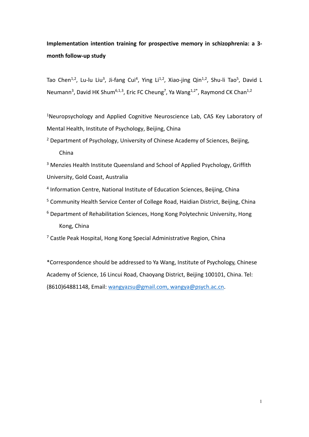# **Implementation intention training for prospective memory in schizophrenia: a 3 month follow-up study**

Tao Chen<sup>1,2</sup>, Lu-lu Liu<sup>3</sup>, Ji-fang Cui<sup>4</sup>, Ying Li<sup>1,2</sup>, Xiao-jing Qin<sup>1,2</sup>, Shu-li Tao<sup>5</sup>, David L Neumann<sup>3</sup>, David HK Shum<sup>6,1,3</sup>, Eric FC Cheung<sup>7</sup>, Ya Wang<sup>1,2\*</sup>, Raymond CK Chan<sup>1,2</sup>

<sup>1</sup>Neuropsychology and Applied Cognitive Neuroscience Lab, CAS Key Laboratory of Mental Health, Institute of Psychology, Beijing, China

<sup>2</sup> Department of Psychology, University of Chinese Academy of Sciences, Beijing, China

<sup>3</sup> Menzies Health Institute Queensland and School of Applied Psychology, Griffith University, Gold Coast, Australia

- <sup>4</sup> Information Centre, National Institute of Education Sciences, Beijing, China
- <sup>5</sup> Community Health Service Center of College Road, Haidian District, Beijing, China
- <sup>6</sup> Department of Rehabilitation Sciences, Hong Kong Polytechnic University, Hong Kong, China

<sup>7</sup> Castle Peak Hospital, Hong Kong Special Administrative Region, China

\*Correspondence should be addressed to Ya Wang, Institute of Psychology, Chinese Academy of Science, 16 Lincui Road, Chaoyang District, Beijing 100101, China. Tel: (8610)64881148, Email: [wangyazsu@gmail.com,](mailto:wangyazsu@gmail.com) wangya@psych.ac.cn.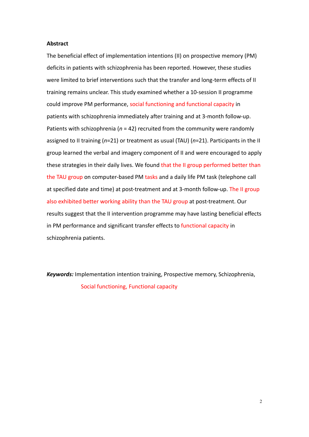### **Abstract**

The beneficial effect of implementation intentions (II) on prospective memory (PM) deficits in patients with schizophrenia has been reported. However, these studies were limited to brief interventions such that the transfer and long-term effects of II training remains unclear. This study examined whether a 10-session II programme could improve PM performance, social functioning and functional capacity in patients with schizophrenia immediately after training and at 3-month follow-up. Patients with schizophrenia (*n* = 42) recruited from the community were randomly assigned to II training (*n*=21) or treatment as usual (TAU) (*n*=21). Participants in the II group learned the verbal and imagery component of II and were encouraged to apply these strategies in their daily lives. We found that the II group performed better than the TAU group on computer-based PM tasks and a daily life PM task (telephone call at specified date and time) at post-treatment and at 3-month follow-up. The II group also exhibited better working ability than the TAU group at post-treatment. Our results suggest that the II intervention programme may have lasting beneficial effects in PM performance and significant transfer effects to functional capacity in schizophrenia patients.

*Keywords:* Implementation intention training, Prospective memory, Schizophrenia, Social functioning, Functional capacity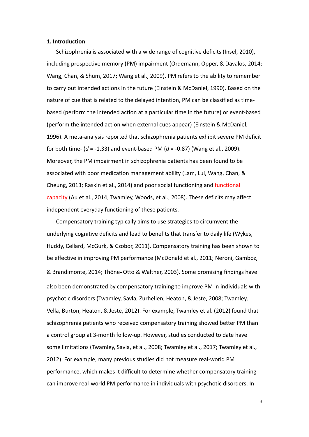## **1. Introduction**

Schizophrenia is associated with a wide range of cognitive deficits (Insel, 2010), including prospective memory (PM) impairment (Ordemann, Opper, & Davalos, 2014; Wang, Chan, & Shum, 2017; Wang et al., 2009). PM refers to the ability to remember to carry out intended actions in the future (Einstein & McDaniel, 1990). Based on the nature of cue that is related to the delayed intention, PM can be classified as timebased (perform the intended action at a particular time in the future) or event-based (perform the intended action when external cues appear) (Einstein & McDaniel, 1996). A meta-analysis reported that schizophrenia patients exhibit severe PM deficit for both time- (*d* = -1.33) and event-based PM (*d* = -0.87) (Wang et al., 2009). Moreover, the PM impairment in schizophrenia patients has been found to be associated with poor medication management ability (Lam, Lui, Wang, Chan, & Cheung, 2013; Raskin et al., 2014) and poor social functioning and functional capacity (Au et al., 2014; Twamley, Woods, et al., 2008). These deficits may affect independent everyday functioning of these patients.

Compensatory training typically aims to use strategies to circumvent the underlying cognitive deficits and lead to benefits that transfer to daily life (Wykes, Huddy, Cellard, McGurk, & Czobor, 2011). Compensatory training has been shown to be effective in improving PM performance (McDonald et al., 2011; Neroni, Gamboz, & Brandimonte, 2014; Thöne‐ Otto & Walther, 2003). Some promising findings have also been demonstrated by compensatory training to improve PM in individuals with psychotic disorders (Twamley, Savla, Zurhellen, Heaton, & Jeste, 2008; Twamley, Vella, Burton, Heaton, & Jeste, 2012). For example, Twamley et al. (2012) found that schizophrenia patients who received compensatory training showed better PM than a control group at 3-month follow-up. However, studies conducted to date have some limitations (Twamley, Savla, et al., 2008; Twamley et al., 2017; Twamley et al., 2012). For example, many previous studies did not measure real-world PM performance, which makes it difficult to determine whether compensatory training can improve real-world PM performance in individuals with psychotic disorders. In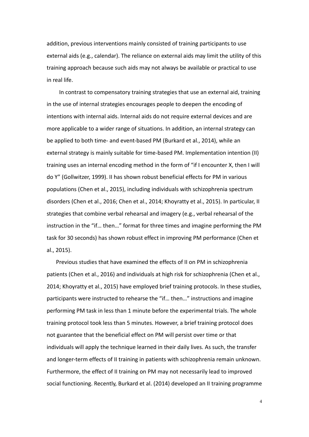addition, previous interventions mainly consisted of training participants to use external aids (e.g., calendar). The reliance on external aids may limit the utility of this training approach because such aids may not always be available or practical to use in real life.

In contrast to compensatory training strategies that use an external aid, training in the use of internal strategies encourages people to deepen the encoding of intentions with internal aids. Internal aids do not require external devices and are more applicable to a wider range of situations. In addition, an internal strategy can be applied to both time- and event-based PM (Burkard et al., 2014), while an external strategy is mainly suitable for time-based PM. Implementation intention (II) training uses an internal encoding method in the form of "if I encounter X, then I will do Y" (Gollwitzer, 1999). II has shown robust beneficial effects for PM in various populations (Chen et al., 2015), including individuals with schizophrenia spectrum disorders (Chen et al., 2016; Chen et al., 2014; Khoyratty et al., 2015). In particular, II strategies that combine verbal rehearsal and imagery (e.g., verbal rehearsal of the instruction in the "if… then…" format for three times and imagine performing the PM task for 30 seconds) has shown robust effect in improving PM performance (Chen et al., 2015).

 Previous studies that have examined the effects of II on PM in schizophrenia patients (Chen et al., 2016) and individuals at high risk for schizophrenia (Chen et al., 2014; Khoyratty et al., 2015) have employed brief training protocols. In these studies, participants were instructed to rehearse the "if… then…" instructions and imagine performing PM task in less than 1 minute before the experimental trials. The whole training protocol took less than 5 minutes. However, a brief training protocol does not guarantee that the beneficial effect on PM will persist over time or that individuals will apply the technique learned in their daily lives. As such, the transfer and longer-term effects of II training in patients with schizophrenia remain unknown. Furthermore, the effect of II training on PM may not necessarily lead to improved social functioning. Recently, Burkard et al. (2014) developed an II training programme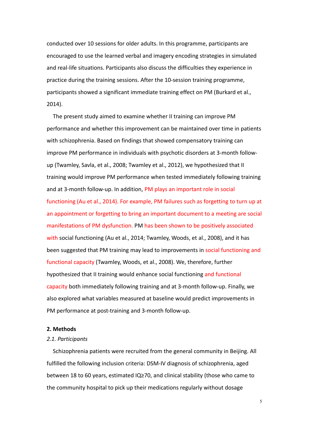conducted over 10 sessions for older adults. In this programme, participants are encouraged to use the learned verbal and imagery encoding strategies in simulated and real-life situations. Participants also discuss the difficulties they experience in practice during the training sessions. After the 10-session training programme, participants showed a significant immediate training effect on PM (Burkard et al., 2014).

 The present study aimed to examine whether II training can improve PM performance and whether this improvement can be maintained over time in patients with schizophrenia. Based on findings that showed compensatory training can improve PM performance in individuals with psychotic disorders at 3-month followup (Twamley, Savla, et al., 2008; Twamley et al., 2012), we hypothesized that II training would improve PM performance when tested immediately following training and at 3-month follow-up. In addition, PM plays an important role in social functioning (Au et al., 2014). For example, PM failures such as forgetting to turn up at an appointment or forgetting to bring an important document to a meeting are social manifestations of PM dysfunction. PM has been shown to be positively associated with social functioning (Au et al., 2014; Twamley, Woods, et al., 2008), and it has been suggested that PM training may lead to improvements in social functioning and functional capacity (Twamley, Woods, et al., 2008). We, therefore, further hypothesized that II training would enhance social functioning and functional capacity both immediately following training and at 3-month follow-up. Finally, we also explored what variables measured at baseline would predict improvements in PM performance at post-training and 3-month follow-up.

# **2. Methods**

#### *2.1. Participants*

Schizophrenia patients were recruited from the general community in Beijing. All fulfilled the following inclusion criteria: DSM-IV diagnosis of schizophrenia, aged between 18 to 60 years, estimated IQ≥70, and clinical stability (those who came to the community hospital to pick up their medications regularly without dosage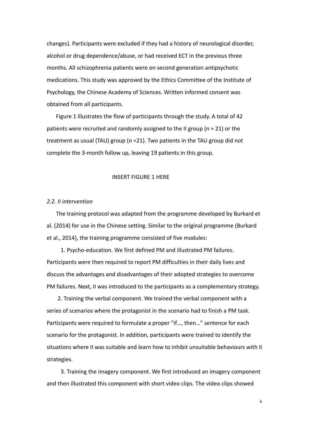changes). Participants were excluded if they had a history of neurological disorder, alcohol or drug dependence/abuse, or had received ECT in the previous three months. All schizophrenia patients were on second generation antipsychotic medications. This study was approved by the Ethics Committee of the Institute of Psychology, the Chinese Academy of Sciences. Written informed consent was obtained from all participants.

 Figure 1 illustrates the flow of participants through the study. A total of 42 patients were recruited and randomly assigned to the II group (*n* = 21) or the treatment as usual (TAU) group (*n* =21). Two patients in the TAU group did not complete the 3-month follow up, leaving 19 patients in this group.

#### INSERT FIGURE 1 HERE

# *2.2. II intervention*

The training protocol was adapted from the programme developed by Burkard et al. (2014) for use in the Chinese setting. Similar to the original programme (Burkard et al., 2014), the training programme consisted of five modules:

1. Psycho-education. We first defined PM and illustrated PM failures. Participants were then required to report PM difficulties in their daily lives and discuss the advantages and disadvantages of their adopted strategies to overcome PM failures. Next, II was introduced to the participants as a complementary strategy.

2. Training the verbal component. We trained the verbal component with a series of scenarios where the protagonist in the scenario had to finish a PM task. Participants were required to formulate a proper "if…, then…" sentence for each scenario for the protagonist. In addition, participants were trained to identify the situations where II was suitable and learn how to inhibit unsuitable behaviours with II strategies.

3. Training the imagery component. We first introduced an imagery component and then illustrated this component with short video clips. The video clips showed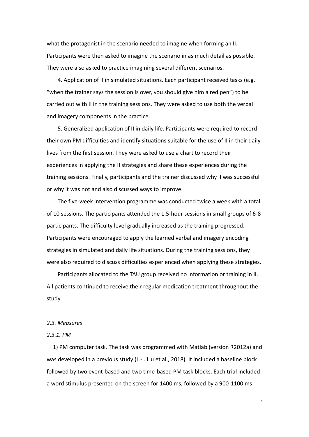what the protagonist in the scenario needed to imagine when forming an II. Participants were then asked to imagine the scenario in as much detail as possible. They were also asked to practice imagining several different scenarios.

4. Application of II in simulated situations. Each participant received tasks (e.g. "when the trainer says the session is over, you should give him a red pen") to be carried out with II in the training sessions. They were asked to use both the verbal and imagery components in the practice.

5. Generalized application of II in daily life. Participants were required to record their own PM difficulties and identify situations suitable for the use of II in their daily lives from the first session. They were asked to use a chart to record their experiences in applying the II strategies and share these experiences during the training sessions. Finally, participants and the trainer discussed why II was successful or why it was not and also discussed ways to improve.

The five-week intervention programme was conducted twice a week with a total of 10 sessions. The participants attended the 1.5-hour sessions in small groups of 6-8 participants. The difficulty level gradually increased as the training progressed. Participants were encouraged to apply the learned verbal and imagery encoding strategies in simulated and daily life situations. During the training sessions, they were also required to discuss difficulties experienced when applying these strategies.

Participants allocated to the TAU group received no information or training in II. All patients continued to receive their regular medication treatment throughout the study.

#### *2.3. Measures*

#### *2.3.1. PM*

1) PM computer task. The task was programmed with Matlab (version R2012a) and was developed in a previous study (L.-l. Liu et al., 2018). It included a baseline block followed by two event-based and two time-based PM task blocks. Each trial included a word stimulus presented on the screen for 1400 ms, followed by a 900-1100 ms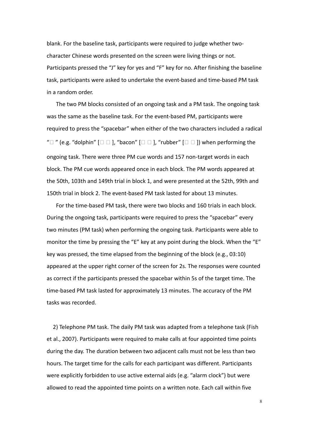blank. For the baseline task, participants were required to judge whether twocharacter Chinese words presented on the screen were living things or not. Participants pressed the "J" key for yes and "F" key for no. After finishing the baseline task, participants were asked to undertake the event-based and time-based PM task in a random order.

The two PM blocks consisted of an ongoing task and a PM task. The ongoing task was the same as the baseline task. For the event-based PM, participants were required to press the "spacebar" when either of the two characters included a radical " $\Box$ " (e.g. "dolphin"  $\Box$   $\Box$  ], "bacon"  $\Box$   $\Box$  ], "rubber"  $\Box$   $\Box$  ]) when performing the ongoing task. There were three PM cue words and 157 non-target words in each block. The PM cue words appeared once in each block. The PM words appeared at the 50th, 103th and 149th trial in block 1, and were presented at the 52th, 99th and 150th trial in block 2. The event-based PM task lasted for about 13 minutes.

For the time-based PM task, there were two blocks and 160 trials in each block. During the ongoing task, participants were required to press the "spacebar" every two minutes (PM task) when performing the ongoing task. Participants were able to monitor the time by pressing the "E" key at any point during the block. When the "E" key was pressed, the time elapsed from the beginning of the block (e.g., 03:10) appeared at the upper right corner of the screen for 2s. The responses were counted as correct if the participants pressed the spacebar within 5s of the target time. The time-based PM task lasted for approximately 13 minutes. The accuracy of the PM tasks was recorded.

2) Telephone PM task. The daily PM task was adapted from a telephone task (Fish et al., 2007). Participants were required to make calls at four appointed time points during the day. The duration between two adjacent calls must not be less than two hours. The target time for the calls for each participant was different. Participants were explicitly forbidden to use active external aids (e.g. "alarm clock") but were allowed to read the appointed time points on a written note. Each call within five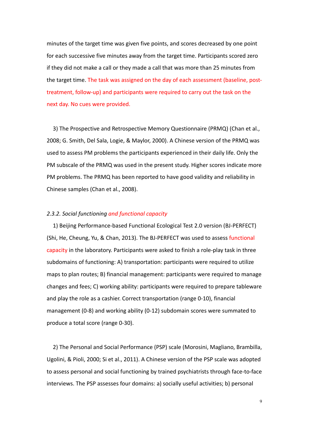minutes of the target time was given five points, and scores decreased by one point for each successive five minutes away from the target time. Participants scored zero if they did not make a call or they made a call that was more than 25 minutes from the target time. The task was assigned on the day of each assessment (baseline, posttreatment, follow-up) and participants were required to carry out the task on the next day. No cues were provided.

3) The Prospective and Retrospective Memory Questionnaire (PRMQ) (Chan et al., 2008; G. Smith, Del Sala, Logie, & Maylor, 2000). A Chinese version of the PRMQ was used to assess PM problems the participants experienced in their daily life. Only the PM subscale of the PRMQ was used in the present study. Higher scores indicate more PM problems. The PRMQ has been reported to have good validity and reliability in Chinese samples (Chan et al., 2008).

# *2.3.2. Social functioning and functional capacity*

1) Beijing Performance-based Functional Ecological Test 2.0 version (BJ-PERFECT) (Shi, He, Cheung, Yu, & Chan, 2013). The BJ-PERFECT was used to assess functional capacity in the laboratory. Participants were asked to finish a role-play task in three subdomains of functioning: A) transportation: participants were required to utilize maps to plan routes; B) financial management: participants were required to manage changes and fees; C) working ability: participants were required to prepare tableware and play the role as a cashier. Correct transportation (range 0-10), financial management (0-8) and working ability (0-12) subdomain scores were summated to produce a total score (range 0-30).

2) The Personal and Social Performance (PSP) scale (Morosini, Magliano, Brambilla, Ugolini, & Pioli, 2000; Si et al., 2011). A Chinese version of the PSP scale was adopted to assess personal and social functioning by trained psychiatrists through face-to-face interviews. The PSP assesses four domains: a) socially useful activities; b) personal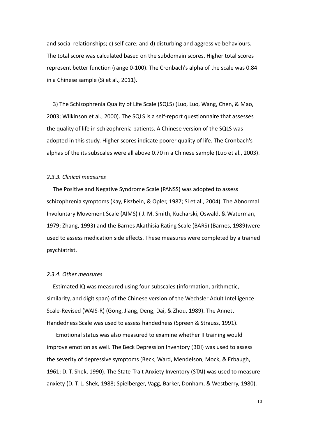and social relationships; c) self-care; and d) disturbing and aggressive behaviours. The total score was calculated based on the subdomain scores. Higher total scores represent better function (range 0-100). The Cronbach's alpha of the scale was 0.84 in a Chinese sample (Si et al., 2011).

3) The Schizophrenia Quality of Life Scale (SQLS) (Luo, Luo, Wang, Chen, & Mao, 2003; Wilkinson et al., 2000). The SQLS is a self-report questionnaire that assesses the quality of life in schizophrenia patients. A Chinese version of the SQLS was adopted in this study. Higher scores indicate poorer quality of life. The Cronbach's alphas of the its subscales were all above 0.70 in a Chinese sample (Luo et al., 2003).

# *2.3.3. Clinical measures*

The Positive and Negative Syndrome Scale (PANSS) was adopted to assess schizophrenia symptoms (Kay, Fiszbein, & Opler, 1987; Si et al., 2004). The Abnormal Involuntary Movement Scale (AIMS) ( J. M. Smith, Kucharski, Oswald, & Waterman, 1979; Zhang, 1993) and the Barnes Akathisia Rating Scale (BARS) (Barnes, 1989)were used to assess medication side effects. These measures were completed by a trained psychiatrist.

#### *2.3.4. Other measures*

Estimated IQ was measured using four-subscales (information, arithmetic, similarity, and digit span) of the Chinese version of the Wechsler Adult Intelligence Scale-Revised (WAIS-R) (Gong, Jiang, Deng, Dai, & Zhou, 1989). The Annett Handedness Scale was used to assess handedness (Spreen & Strauss, 1991).

Emotional status was also measured to examine whether II training would improve emotion as well. The Beck Depression Inventory (BDI) was used to assess the severity of depressive symptoms (Beck, Ward, Mendelson, Mock, & Erbaugh, 1961; D. T. Shek, 1990). The State-Trait Anxiety Inventory (STAI) was used to measure anxiety (D. T. L. Shek, 1988; Spielberger, Vagg, Barker, Donham, & Westberry, 1980).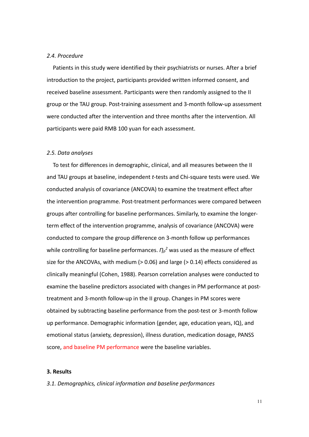## *2.4. Procedure*

Patients in this study were identified by their psychiatrists or nurses. After a brief introduction to the project, participants provided written informed consent, and received baseline assessment. Participants were then randomly assigned to the II group or the TAU group. Post-training assessment and 3-month follow-up assessment were conducted after the intervention and three months after the intervention. All participants were paid RMB 100 yuan for each assessment.

#### *2.5. Data analyses*

To test for differences in demographic, clinical, and all measures between the II and TAU groups at baseline, independent *t*-tests and Chi-square tests were used. We conducted analysis of covariance (ANCOVA) to examine the treatment effect after the intervention programme. Post-treatment performances were compared between groups after controlling for baseline performances. Similarly, to examine the longerterm effect of the intervention programme, analysis of covariance (ANCOVA) were conducted to compare the group difference on 3-month follow up performances while controlling for baseline performances.  $\eta_p^2$  was used as the measure of effect size for the ANCOVAs, with medium  $(> 0.06)$  and large  $(> 0.14)$  effects considered as clinically meaningful (Cohen, 1988). Pearson correlation analyses were conducted to examine the baseline predictors associated with changes in PM performance at posttreatment and 3-month follow-up in the II group. Changes in PM scores were obtained by subtracting baseline performance from the post-test or 3-month follow up performance. Demographic information (gender, age, education years, IQ), and emotional status (anxiety, depression), illness duration, medication dosage, PANSS score, and baseline PM performance were the baseline variables.

# **3. Results**

*3.1. Demographics, clinical information and baseline performances*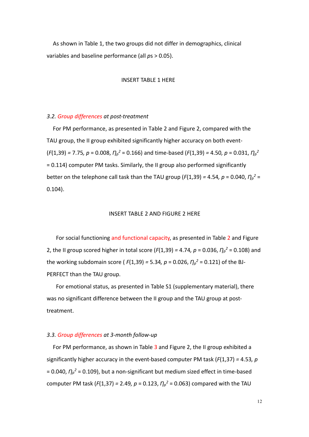As shown in Table 1, the two groups did not differ in demographics, clinical variables and baseline performance (all *p*s > 0.05).

#### INSERT TABLE 1 HERE

## *3.2. Group differences at post-treatment*

For PM performance, as presented in Table 2 and Figure 2, compared with the TAU group, the II group exhibited significantly higher accuracy on both event-  $(F(1,39) = 7.75, p = 0.008, \eta_p^2 = 0.166$  and time-based  $(F(1,39) = 4.50, p = 0.031, \eta_p^2$ = 0.114) computer PM tasks. Similarly, the II group also performed significantly better on the telephone call task than the TAU group ( $F(1,39) = 4.54$ ,  $p = 0.040$ ,  $\eta_p^2 =$ 0.104).

## INSERT TABLE 2 AND FIGURE 2 HERE

 For social functioning and functional capacity, as presented in Table 2 and Figure 2, the II group scored higher in total score ( $F(1,39) = 4.74$ ,  $p = 0.036$ ,  $\eta_p^2 = 0.108$ ) and the working subdomain score ( $F(1,39) = 5.34$ ,  $p = 0.026$ ,  $\eta_p^2 = 0.121$ ) of the BJ-PERFECT than the TAU group.

For emotional status, as presented in Table S1 (supplementary material), there was no significant difference between the II group and the TAU group at posttreatment.

# *3.3. Group differences at 3-month follow-up*

For PM performance, as shown in Table 3 and Figure 2, the II group exhibited a significantly higher accuracy in the event-based computer PM task (*F*(1,37) *=* 4.53*, p*  $= 0.040$ ,  $\eta_p^2 = 0.109$ ), but a non-significant but medium sized effect in time-based computer PM task ( $F(1,37) = 2.49$ ,  $p = 0.123$ ,  $\eta_p^2 = 0.063$ ) compared with the TAU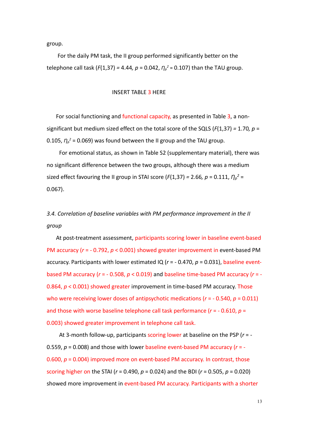group.

For the daily PM task, the II group performed significantly better on the telephone call task ( $F(1,37) = 4.44$ ,  $p = 0.042$ ,  $\eta_p^2 = 0.107$ ) than the TAU group.

INSERT TABLE 3 HERE

For social functioning and functional capacity, as presented in Table 3, a nonsignificant but medium sized effect on the total score of the SQLS (*F*(1,37) *=* 1.70*, p* = 0.105,  $\eta_{\rho}^2$  = 0.069) was found between the II group and the TAU group.

For emotional status, as shown in Table S2 (supplementary material), there was no significant difference between the two groups, although there was a medium sized effect favouring the II group in STAI score ( $F(1,37) = 2.66$ ,  $p = 0.111$ ,  $\eta_p^2 =$ 0.067).

# *3.4. Correlation of baseline variables with PM performance improvement in the II group*

At post-treatment assessment, participants scoring lower in baseline event-based PM accuracy (*r* = - 0.792, *p* < 0.001) showed greater improvement in event-based PM accuracy. Participants with lower estimated IQ (*r* = - 0.470, *p* = 0.031), baseline eventbased PM accuracy (*r* = - 0.508, *p* < 0.019) and baseline time-based PM accuracy (*r* = - 0.864, *p* < 0.001) showed greater improvement in time-based PM accuracy. Those who were receiving lower doses of antipsychotic medications (*r* = - 0.540, *p* = 0.011) and those with worse baseline telephone call task performance (*r* = - 0.610, *p* = 0.003) showed greater improvement in telephone call task.

At 3-month follow-up, participants scoring lower at baseline on the PSP (*r* = - 0.559, *p* = 0.008) and those with lower baseline event-based PM accuracy (*r* = - 0.600, *p* = 0.004) improved more on event-based PM accuracy. In contrast, those scoring higher on the STAI (*r* = 0.490, *p* = 0.024) and the BDI (*r* = 0.505, *p* = 0.020) showed more improvement in event-based PM accuracy. Participants with a shorter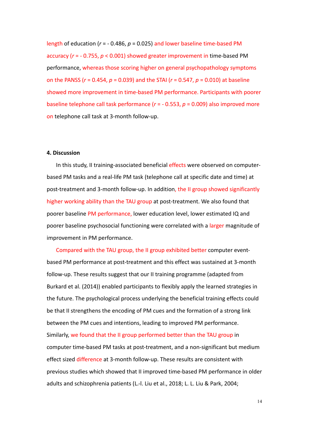length of education (*r* = - 0.486, *p* = 0.025) and lower baseline time-based PM accuracy (*r* = - 0.755, *p* < 0.001) showed greater improvement in time-based PM performance, whereas those scoring higher on general psychopathology symptoms on the PANSS (*r* = 0.454, *p* = 0.039) and the STAI (*r* = 0.547, *p* = 0.010) at baseline showed more improvement in time-based PM performance. Participants with poorer baseline telephone call task performance (*r* = - 0.553, *p* = 0.009) also improved more on telephone call task at 3-month follow-up.

#### **4. Discussion**

In this study, II training-associated beneficial effects were observed on computerbased PM tasks and a real-life PM task (telephone call at specific date and time) at post-treatment and 3-month follow-up. In addition, the II group showed significantly higher working ability than the TAU group at post-treatment. We also found that poorer baseline PM performance, lower education level, lower estimated IQ and poorer baseline psychosocial functioning were correlated with a larger magnitude of improvement in PM performance.

Compared with the TAU group, the II group exhibited better computer eventbased PM performance at post-treatment and this effect was sustained at 3-month follow-up. These results suggest that our II training programme (adapted from Burkard et al. (2014)) enabled participants to flexibly apply the learned strategies in the future. The psychological process underlying the beneficial training effects could be that II strengthens the encoding of PM cues and the formation of a strong link between the PM cues and intentions, leading to improved PM performance. Similarly, we found that the II group performed better than the TAU group in computer time-based PM tasks at post-treatment, and a non-significant but medium effect sized difference at 3-month follow-up. These results are consistent with previous studies which showed that II improved time-based PM performance in older adults and schizophrenia patients (L.-l. Liu et al., 2018; L. L. Liu & Park, 2004;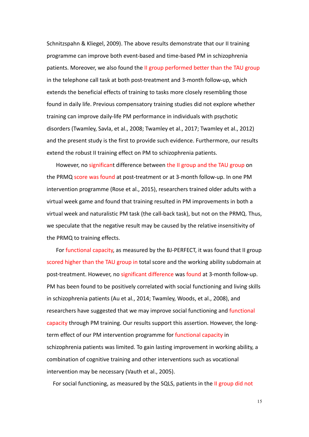Schnitzspahn & Kliegel, 2009). The above results demonstrate that our II training programme can improve both event-based and time-based PM in schizophrenia patients. Moreover, we also found the II group performed better than the TAU group in the telephone call task at both post-treatment and 3-month follow-up, which extends the beneficial effects of training to tasks more closely resembling those found in daily life. Previous compensatory training studies did not explore whether training can improve daily-life PM performance in individuals with psychotic disorders (Twamley, Savla, et al., 2008; Twamley et al., 2017; Twamley et al., 2012) and the present study is the first to provide such evidence. Furthermore, our results extend the robust II training effect on PM to schizophrenia patients.

However, no significant difference between the II group and the TAU group on the PRMQ score was found at post-treatment or at 3-month follow-up. In one PM intervention programme (Rose et al., 2015), researchers trained older adults with a virtual week game and found that training resulted in PM improvements in both a virtual week and naturalistic PM task (the call-back task), but not on the PRMQ. Thus, we speculate that the negative result may be caused by the relative insensitivity of the PRMQ to training effects.

 For functional capacity, as measured by the BJ-PERFECT, it was found that II group scored higher than the TAU group in total score and the working ability subdomain at post-treatment. However, no significant difference was found at 3-month follow-up. PM has been found to be positively correlated with social functioning and living skills in schizophrenia patients (Au et al., 2014; Twamley, Woods, et al., 2008), and researchers have suggested that we may improve social functioning and functional capacity through PM training. Our results support this assertion. However, the longterm effect of our PM intervention programme for functional capacity in schizophrenia patients was limited. To gain lasting improvement in working ability, a combination of cognitive training and other interventions such as vocational intervention may be necessary (Vauth et al., 2005).

For social functioning, as measured by the SQLS, patients in the II group did not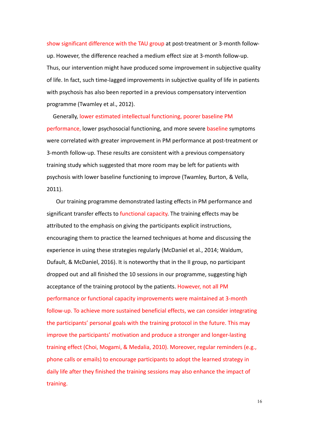show significant difference with the TAU group at post-treatment or 3-month followup. However, the difference reached a medium effect size at 3-month follow-up. Thus, our intervention might have produced some improvement in subjective quality of life. In fact, such time-lagged improvements in subjective quality of life in patients with psychosis has also been reported in a previous compensatory intervention programme (Twamley et al., 2012).

Generally, lower estimated intellectual functioning, poorer baseline PM performance, lower psychosocial functioning, and more severe baseline symptoms were correlated with greater improvement in PM performance at post-treatment or 3-month follow-up. These results are consistent with a previous compensatory training study which suggested that more room may be left for patients with psychosis with lower baseline functioning to improve (Twamley, Burton, & Vella, 2011).

Our training programme demonstrated lasting effects in PM performance and significant transfer effects to functional capacity. The training effects may be attributed to the emphasis on giving the participants explicit instructions, encouraging them to practice the learned techniques at home and discussing the experience in using these strategies regularly (McDaniel et al., 2014; Waldum, Dufault, & McDaniel, 2016). It is noteworthy that in the II group, no participant dropped out and all finished the 10 sessions in our programme, suggesting high acceptance of the training protocol by the patients. However, not all PM performance or functional capacity improvements were maintained at 3-month follow-up. To achieve more sustained beneficial effects, we can consider integrating the participants' personal goals with the training protocol in the future. This may improve the participants' motivation and produce a stronger and longer-lasting training effect (Choi, Mogami, & Medalia, 2010). Moreover, regular reminders (e.g., phone calls or emails) to encourage participants to adopt the learned strategy in daily life after they finished the training sessions may also enhance the impact of training.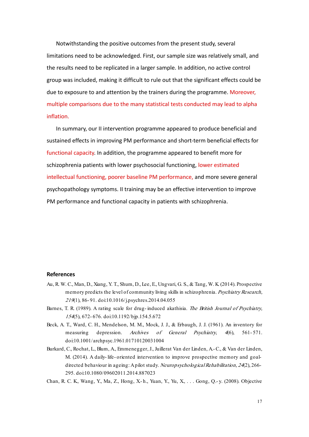Notwithstanding the positive outcomes from the present study, several limitations need to be acknowledged. First, our sample size was relatively small, and the results need to be replicated in a larger sample. In addition, no active control group was included, making it difficult to rule out that the significant effects could be due to exposure to and attention by the trainers during the programme. Moreover, multiple comparisons due to the many statistical tests conducted may lead to alpha inflation.

 In summary, our II intervention programme appeared to produce beneficial and sustained effects in improving PM performance and short-term beneficial effects for functional capacity. In addition, the programme appeared to benefit more for schizophrenia patients with lower psychosocial functioning, lower estimated intellectual functioning, poorer baseline PM performance, and more severe general psychopathology symptoms. II training may be an effective intervention to improve PM performance and functional capacity in patients with schizophrenia.

#### **References**

- Au, R. W. C., Man, D., Xiang, Y. T., Shum, D., Lee, E., Ungvari, G. S., & Tang, W. K. (2014). Prospective memory predicts the level of community living skills in schizophrenia. Psychiatry Research, <sup>219</sup>(1), 86- 91. doi:10.1016/j.psychres.2014.04.055
- Barnes, T. R. (1989). A rating scale for drug- induced akathisia. The British Journal of Psychiatry, <sup>154</sup>(5), 672- 676. doi:10.1192/bjp.154.5.672
- Beck, A. T., Ward, C. H., Mendelson, M. M., Mock, J. J., & Erbaugh, J. J. (1961). An inventory for measuring depression. Archives of General Psychiatry, 4(6), 561-571. doi:10.1001/archpsyc.1961.01710120031004
- Burkard, C., Rochat, L., Blum, A., Emmenegger, J., Juillerat Van der Linden, A.-C., & Van der Linden, M. (2014). A daily- life- oriented intervention to improve prospective memory and goaldirected behaviour in ageing: A pilot study. Neuropsychological Rehabilitation, 24(2), 266-295. doi:10.1080/09602011.2014.887023
- Chan, R. C. K., Wang, Y., Ma, Z., Hong, X.- h., Yuan, Y., Yu, X., . . . Gong, Q.- y. (2008). Objective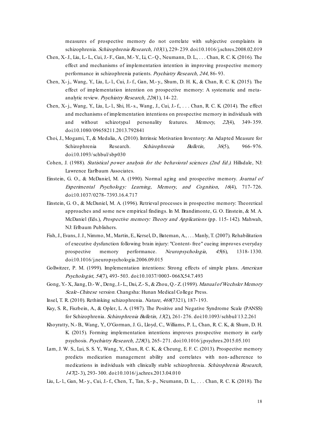measures of prospective memory do not correlate with subjective complaints in schizophrenia. Schizophrenia Research, 103(1), 229- 239. doi:10.1016/j.schres.2008.02.019

- Chen, X.-J., Liu, L.- L., Cui, J.- F., Gan, M.- Y., Li, C.- Q., Neumann, D. L., . . . Chan, R. C. K. (2016). The effect and mechanisms of implementation intention in improving prospective memory performance in schizophrenia patients. Psychiatry Research, 244, 86- 93.
- Chen, X.- j., Wang, Y., Liu, L.- l., Cui, J.- f., Gan, M.- y., Shum, D. H. K., & Chan, R. C. K. (2015). The effect of implementation intention on prospective memory: A systematic and metaanalytic review. Psychiatry Research, 226(1), 14- 22.
- Chen, X.- j., Wang, Y., Liu, L.- l., Shi, H.-s., Wang, J., Cui, J.- f., . . . Chan, R. C. K. (2014). The effect and mechanisms of implementation intentions on prospective memory in individuals with and without schizotypal personality features. Memory, 22(4), 349-359. doi:10.1080/09658211.2013.792841
- Choi, J., Mogami, T., & Medalia, A. (2010). Intrinsic Motivation Inventory: An Adapted Measure for Schizophrenia Research. *Schizophrenia Bulletin*, 36(5), 966-976. doi:10.1093/schbul/sbp030
- Cohen, J. (1988). Statistical power analysis for the behavioral sciences (2nd Ed.). Hillsdale, NJ: Lawrence Earlbaum Associates.
- Einstein, G. O., & McDaniel, M. A. (1990). Normal aging and prospective memory. Journal of Experimental Psychology: Learning, Memory, and Cognition, 16(4), 717- 726. doi:10.1037/0278- 7393.16.4.717
- Einstein, G. O., & McDaniel, M. A. (1996). Retrieval processes in prospective memory: Theoretical approaches and some new empirical findings. In M. Brandimonte, G. O. Einstein, & M. A. McDaniel (Eds.), Prospective memory: Theory and Applications (pp. 115- 142). Mahwah, NJ: Erlbaum Publishers.
- Fish, J., Evans, J. J., Nimmo, M., Martin, E., Kersel, D., Bateman, A., . . . Manly, T. (2007). Rehabilitation of executive dysfunction following brain injury: "Content- free" cueing improves everyday prospective memory performance. Neuropsychologia, 45(6), 1318- 1330. doi:10.1016/j.neuropsychologia.2006.09.015
- Gollwitzer, P. M. (1999). Implementation intentions: Strong effects of simple plans. American Psychologist, 54(7), 493-503. doi:10.1037/0003-066X54.7.493
- Gong, Y.- X., Jiang, D.- W., Deng, J.- L., Dai, Z.- S., & Zhou, Q.- Z. (1989). Manual of Wechsler Memory Scale-Chinese version. Changsha: Hunan Medical College Press.
- Insel, T. R. (2010). Rethinking schizophrenia. Nature, 468(7321), 187- 193.
- Kay, S. R., Fiszbein, A., & Opler, L. A. (1987). The Positive and Negative Syndrome Scale (PANSS) for Schizophrenia. Schizophrenia Bulletin, 13(2), 261- 276. doi:10.1093/schbul/13.2.261
- Khoyratty, N.-B., Wang, Y., O'Gorman, J. G., Lloyd, C., Williams, P. L., Chan, R. C. K., & Shum, D. H. K. (2015). Forming implementation intentions improves prospective memory in early psychosis. Psychiatry Research, 228(3), 265- 271. doi:10.1016/j.psychres.2015.05.101
- Lam, J. W. S., Lui, S. S. Y., Wang, Y., Chan, R. C. K., & Cheung, E. F. C. (2013). Prospective memory predicts medication management ability and correlates with non- adherence to medications in individuals with clinically stable schizophrenia. Schizophrenia Research, <sup>147</sup>(2- 3), 293- 300. doi:10.1016/j.schres.2013.04.010
- Liu, L.- l., Gan, M.- y., Cui, J.-f., Chen, T., Tan, S.- p., Neumann, D. L., . . . Chan, R. C. K. (2018). The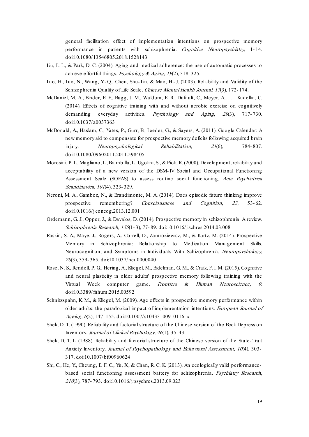general facilitation effect of implementation intentions on prospective memory performance in patients with schizophrenia. Cognitive Neuropsychiatry, 1-14. doi:10.1080/13546805.2018.1528143

- Liu, L. L., & Park, D. C. (2004). Aging and medical adherence: the use of automatic processes to achieve effortful things. Psychology & Aging, 19(2), 318-325.
- Luo, H., Luo, N., Wang, Y.- Q., Chen, Shu- Lin, & Mao, H.-J. (2003). Reliability and Validity of the Schizophrenia Quality of Life Scale. Chinese Mental Health Journal, 17(3), 172-174.
- McDaniel, M. A., Binder, E. F., Bugg, J. M., Waldum, E. R., Dufault, C., Meyer, A., . . . Kudelka, C. (2014). Effects of cognitive training with and without aerobic exercise on cognitively demanding everyday activities. Psychology and Aging, 29(3), 717-730. doi:10.1037/a0037363
- McDonald, A., Haslam, C., Yates, P., Gurr, B., Leeder, G., & Sayers, A. (2011). Google Calendar: A new memory aid to compensate for prospective memory deficits following acquired brain injury. Neuropsychological Rehabilitation,  $21(6)$ , 784-807. doi:10.1080/09602011.2011.598405
- Morosini, P. L., Magliano, L., Brambilla, L., Ugolini, S., & Pioli, R. (2000). Development, reliability and acceptability of a new version of the DSM- IV Social and Occupational Functioning Assessment Scale (SOFAS) to assess routine social functioning. Acta Psychiatrica Scandinavica, 101(4), 323- 329.
- Neroni, M. A., Gamboz, N., & Brandimonte, M. A. (2014). Does episodic future thinking improve prospective remembering? Consciousness and Cognition, 23, 53-62. doi:10.1016/j.concog.2013.12.001
- Ordemann, G. J., Opper, J., & Davalos, D. (2014). Prospective memory in schizophrenia: A review. Schizophrenia Research, 155(1- 3), 77- 89. doi:10.1016/j.schres.2014.03.008
- Raskin, S. A., Maye, J., Rogers, A., Correll, D., Zamroziewicz, M., & Kurtz, M. (2014). Prospective Memory in Schizophrenia: Relationship to Medication Management Skills, Neurocognition, and Symptoms in Individuals With Schizophrenia. Neuropsychology, <sup>28</sup>(3), 359- 365. doi:10.1037/neu0000040
- Rose, N. S., Rendell, P. G., Hering, A., Kliegel, M., Bidelman, G. M., & Craik, F. I. M. (2015). Cognitive and neural plasticity in older adults' prospective memory following training with the Virtual Week computer game. Frontiers in Human Neuroscience, 9. doi:10.3389/fnhum.2015.00592
- Schnitzspahn, K. M., & Kliegel, M. (2009). Age effects in prospective memory performance within older adults: the paradoxical impact of implementation intentions. European Journal of Ageing, 6(2), 147-155. doi:10.1007/s10433-009-0116-x
- Shek, D. T. (1990). Reliability and factorial structure of the Chinese version of the Beck Depression Inventory. Journal of Clinical Psychology, 46(1), 35–43.
- Shek, D. T. L. (1988). Reliability and factorial structure of the Chinese version of the State- Trait Anxiety Inventory. Journal of Psychopathology and Behavioral Assessment, 10(4), 303- 317. doi:10.1007/bf00960624
- Shi, C., He, Y., Cheung, E. F. C., Yu, X., & Chan, R. C. K. (2013). An ecologically valid performancebased social functioning assessment battery for schizophrenia. Psychiatry Research, <sup>210</sup>(3), 787- 793. doi:10.1016/j.psychres.2013.09.023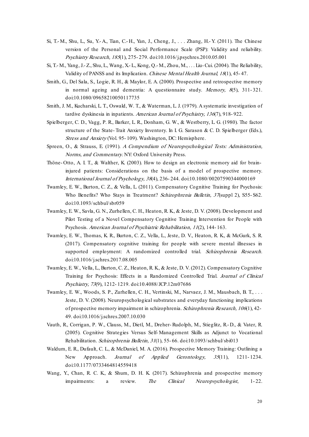- Si, T.- M., Shu, L., Su, Y.- A., Tian, C.- H., Yan, J., Cheng, J., . . . Zhang, H.- Y. (2011). The Chinese version of the Personal and Social Performance Scale (PSP): Validity and reliability. Psychiatry Research, 185(1), 275- 279. doi:10.1016/j.psychres.2010.05.001
- Si, T.- M., Yang, J.- Z., Shu, L., Wang, X.- L., Kong, Q.- M., Zhou, M., . . . Liu-Cui. (2004). The Reliability, Validity of PANSS and its Implication. Chinese Mental Health Journal, 18(1), 45- 47.
- Smith, G., Del Sala, S., Logie, R. H., & Maylor, E. A. (2000). Prospective and retrospective memory in normal ageing and dementia: A questionnaire study. Memory, 8(5), 311-321. doi:10.1080/09658210050117735
- Smith, J. M., Kucharski, L. T., Oswald, W. T., & Waterman, L. J. (1979). A systematic investigation of tardive dyskinesia in inpatients. American Journal of Psychiatry, 136(7), 918- 922.
- Spielberger, C. D., Vagg, P. R., Barker, L. R., Donham, G. W., & Westberry, L. G. (1980). The factor structure of the State- Trait Anxiety Inventory. In I. G. Sarason & C. D. Spielberger (Eds.), Stress and Anxiety (Vol. 95-109). Washington, DC: Hemisphere.
- Spreen, O., & Strauss, E. (1991). A Compendium of Neuropsychological Tests: Administration, Norms, and Commentary. NY: Oxford University Press.
- Thöne‐ Otto, A. I. T., & Walther, K. (2003). How to design an electronic memory aid for brain‐ injured patients: Considerations on the basis of a model of prospective memory. International Journal of Psychology, 38(4), 236- 244. doi:10.1080/00207590344000169
- Twamley, E. W., Burton, C. Z., & Vella, L. (2011). Compensatory Cognitive Training for Psychosis: Who Benefits? Who Stays in Treatment? Schizophrenia Bulletin, 37(suppl 2), S55-S62. doi:10.1093/schbul/sbr059
- Twamley, E. W., Savla, G. N., Zurhellen, C. H., Heaton, R. K., & Jeste, D. V. (2008). Development and Pilot Testing of a Novel Compensatory Cognitive Training Intervention for People with Psychosis. American Journal of Psychiatric Rehabilitation, 11(2), 144- 163.
- Twamley, E. W., Thomas, K. R., Burton, C. Z., Vella, L., Jeste, D. V., Heaton, R. K., & McGurk, S. R. (2017). Compensatory cognitive training for people with severe mental illnesses in supported employment: A randomized controlled trial. Schizophrenia Research. doi:10.1016/j.schres.2017.08.005
- Twamley, E. W., Vella, L., Burton, C. Z., Heaton, R. K., & Jeste, D. V. (2012). Compensatory Cognitive Training for Psychosis: Effects in a Randomized Controlled Trial. Journal of Clinical Psychiatry, 73(9), 1212- 1219. doi:10.4088/JCP.12m07686
- Twamley, E. W., Woods, S. P., Zurhellen, C. H., Vertinski, M., Narvaez, J. M., Mausbach, B. T., . . . Jeste, D. V. (2008). Neuropsychological substrates and everyday functioning implications of prospective memory impairment in schizophrenia. Schizophrenia Research, 106(1), 42- 49. doi:10.1016/j.schres.2007.10.030
- Vauth, R., Corrigan, P. W., Clauss, M., Dietl, M., Dreher- Rudolph, M., Stieglitz, R.- D., & Vater, R. (2005). Cognitive Strategies Versus Self- Management Skills as Adjunct to Vocational Rehabilitation. Schizophrenia Bulletin, 31(1), 55-66. doi:10.1093/schbul/sbi013
- Waldum, E. R., Dufault, C. L., & McDaniel, M. A. (2016). Prospective Memory Training: Outlining a New Approach. Journal of Applied Gerontology, 35(11), 1211-1234. doi:10.1177/0733464814559418
- Wang, Y., Chan, R. C. K., & Shum, D. H. K. (2017). Schizophrenia and prospective memory impairments: a review. The Clinical Neuropsychologist, 1-22.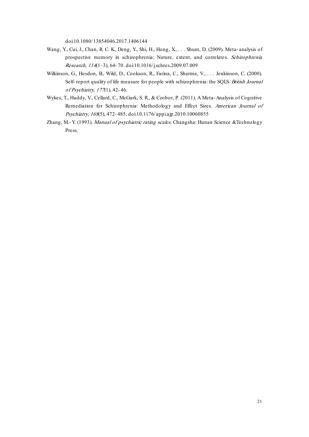doi:10.1080/13854046.2017.1406144

- Wang, Y., Cui, J., Chan, R. C. K., Deng, Y., Shi, H., Hong, X., . . . Shum, D. (2009). Meta- analysis of prospective memory in schizophrenia: Nature, extent, and correlates. Schizophrenia Research, 114(1–3), 64- 70. doi:10.1016/j.schres.2009.07.009
- Wilkinson, G., Hesdon, B., Wild, D., Cookson, R., Farina, C., Sharma, V., . . . Jenkinson, C. (2000). Self-report quality of life measure for people with schizophrenia: the SQLS. British Journal of Psychiatry, 177(1), 42- 46.
- Wykes, T., Huddy, V., Cellard, C., McGurk, S. R., & Czobor, P. (2011). A Meta- Analysis of Cognitive Remediation for Schizophrenia: Methodology and Effect Sizes. American Journal of Psychiatry, 168(5), 472-485. doi:10.1176/appi.ajp.2010.10060855
- Zhang, M.- Y. (1993). Manual of psychiatric rating scales. Changsha: Hunan Science &Technology Press.